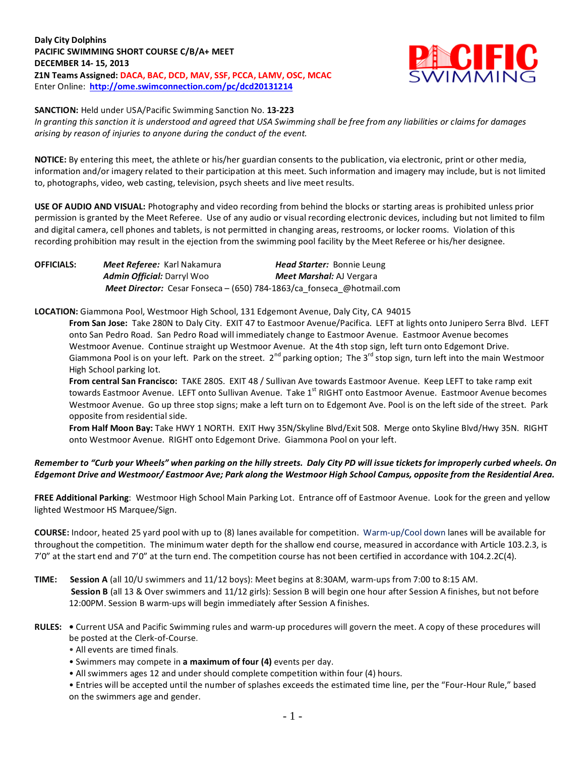**Daly City Dolphins PACIFIC SWIMMING SHORT COURSE C/B/A+ MEET DECEMBER 14- 15, 2013 Z1N Teams Assigned: DACA, BAC, DCD, MAV, SSF, PCCA, LAMV, OSC, MCAC** Enter Online: **<http://ome.swimconnection.com/pc/dcd20131214>**



**SANCTION:** Held under USA/Pacific Swimming Sanction No. **13-223**

*In granting this sanction it is understood and agreed that USA Swimming shall be free from any liabilities or claims for damages arising by reason of injuries to anyone during the conduct of the event.*

**NOTICE:** By entering this meet, the athlete or his/her guardian consents to the publication, via electronic, print or other media, information and/or imagery related to their participation at this meet. Such information and imagery may include, but is not limited to, photographs, video, web casting, television, psych sheets and live meet results.

**USE OF AUDIO AND VISUAL:** Photography and video recording from behind the blocks or starting areas is prohibited unless prior permission is granted by the Meet Referee. Use of any audio or visual recording electronic devices, including but not limited to film and digital camera, cell phones and tablets, is not permitted in changing areas, restrooms, or locker rooms. Violation of this recording prohibition may result in the ejection from the swimming pool facility by the Meet Referee or his/her designee.

**OFFICIALS:** *Meet Referee:* Karl Nakamura *Head Starter:* Bonnie Leung *Admin Official:* Darryl Woo *Meet Marshal:* AJ Vergara *Meet Director:* Cesar Fonseca – (650) 784-1863/ca\_fonseca\_@hotmail.com

**LOCATION:** Giammona Pool, Westmoor High School, 131 Edgemont Avenue, Daly City, CA 94015

**From San Jose:** Take 280N to Daly City. EXIT 47 to Eastmoor Avenue/Pacifica. LEFT at lights onto Junipero Serra Blvd. LEFT onto San Pedro Road. San Pedro Road will immediately change to Eastmoor Avenue. Eastmoor Avenue becomes Westmoor Avenue. Continue straight up Westmoor Avenue. At the 4th stop sign, left turn onto Edgemont Drive. Giammona Pool is on your left. Park on the street.  $2^{nd}$  parking option; The 3<sup>rd</sup> stop sign, turn left into the main Westmoor High School parking lot.

**From central San Francisco:** TAKE 280S. EXIT 48 / Sullivan Ave towards Eastmoor Avenue. Keep LEFT to take ramp exit towards Eastmoor Avenue. LEFT onto Sullivan Avenue. Take 1<sup>st</sup> RIGHT onto Eastmoor Avenue. Eastmoor Avenue becomes Westmoor Avenue. Go up three stop signs; make a left turn on to Edgemont Ave. Pool is on the left side of the street. Park opposite from residential side.

**From Half Moon Bay:** Take HWY 1 NORTH. EXIT Hwy 35N/Skyline Blvd/Exit 508. Merge onto Skyline Blvd/Hwy 35N. RIGHT onto Westmoor Avenue. RIGHT onto Edgemont Drive. Giammona Pool on your left.

## *Remember to "Curb your Wheels" when parking on the hilly streets. Daly City PD will issue tickets for improperly curbed wheels. On Edgemont Drive and Westmoor/ Eastmoor Ave; Park along the Westmoor High School Campus, opposite from the Residential Area.*

**FREE Additional Parking**: Westmoor High School Main Parking Lot. Entrance off of Eastmoor Avenue. Look for the green and yellow lighted Westmoor HS Marquee/Sign.

**COURSE:** Indoor, heated 25 yard pool with up to (8) lanes available for competition.Warm-up/Cool down lanes will be available for throughout the competition. The minimum water depth for the shallow end course, measured in accordance with Article 103.2.3, is 7'0" at the start end and 7'0" at the turn end. The competition course has not been certified in accordance with 104.2.2C(4).

**TIME: Session A** (all 10/U swimmers and 11/12 boys): Meet begins at 8:30AM, warm-ups from 7:00 to 8:15 AM. **Session B** (all 13 & Over swimmers and 11/12 girls): Session B will begin one hour after Session A finishes, but not before 12:00PM. Session B warm-ups will begin immediately after Session A finishes.

- **RULES:** Current USA and Pacific Swimming rules and warm-up procedures will govern the meet. A copy of these procedures will be posted at the Clerk-of-Course.
	- All events are timed finals.
	- Swimmers may compete in **a maximum of four (4)** events per day.
	- All swimmers ages 12 and under should complete competition within four (4) hours.

• Entries will be accepted until the number of splashes exceeds the estimated time line, per the "Four-Hour Rule," based on the swimmers age and gender.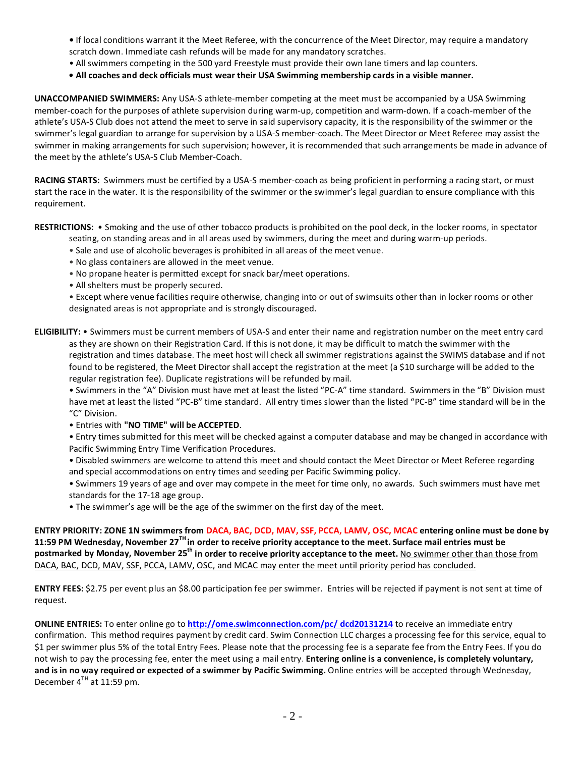- If local conditions warrant it the Meet Referee, with the concurrence of the Meet Director, may require a mandatory scratch down. Immediate cash refunds will be made for any mandatory scratches.
- All swimmers competing in the 500 yard Freestyle must provide their own lane timers and lap counters.
- **All coaches and deck officials must wear their USA Swimming membership cards in a visible manner.**

**UNACCOMPANIED SWIMMERS:** Any USA-S athlete-member competing at the meet must be accompanied by a USA Swimming member-coach for the purposes of athlete supervision during warm-up, competition and warm-down. If a coach-member of the athlete's USA-S Club does not attend the meet to serve in said supervisory capacity, it is the responsibility of the swimmer or the swimmer's legal guardian to arrange for supervision by a USA-S member-coach. The Meet Director or Meet Referee may assist the swimmer in making arrangements for such supervision; however, it is recommended that such arrangements be made in advance of the meet by the athlete's USA-S Club Member-Coach.

**RACING STARTS:** Swimmers must be certified by a USA-S member-coach as being proficient in performing a racing start, or must start the race in the water. It is the responsibility of the swimmer or the swimmer's legal guardian to ensure compliance with this requirement.

**RESTRICTIONS:** • Smoking and the use of other tobacco products is prohibited on the pool deck, in the locker rooms, in spectator seating, on standing areas and in all areas used by swimmers, during the meet and during warm-up periods.

- Sale and use of alcoholic beverages is prohibited in all areas of the meet venue.
- No glass containers are allowed in the meet venue.
- No propane heater is permitted except for snack bar/meet operations.
- All shelters must be properly secured.

• Except where venue facilities require otherwise, changing into or out of swimsuits other than in locker rooms or other designated areas is not appropriate and is strongly discouraged.

**ELIGIBILITY:** • Swimmers must be current members of USA-S and enter their name and registration number on the meet entry card as they are shown on their Registration Card. If this is not done, it may be difficult to match the swimmer with the registration and times database. The meet host will check all swimmer registrations against the SWIMS database and if not found to be registered, the Meet Director shall accept the registration at the meet (a \$10 surcharge will be added to the regular registration fee). Duplicate registrations will be refunded by mail.

• Swimmers in the "A" Division must have met at least the listed "PC-A" time standard. Swimmers in the "B" Division must have met at least the listed "PC-B" time standard. All entry times slower than the listed "PC-B" time standard will be in the "C" Division.

• Entries with **"NO TIME" will be ACCEPTED**.

• Entry times submitted for this meet will be checked against a computer database and may be changed in accordance with Pacific Swimming Entry Time Verification Procedures.

• Disabled swimmers are welcome to attend this meet and should contact the Meet Director or Meet Referee regarding and special accommodations on entry times and seeding per Pacific Swimming policy.

• Swimmers 19 years of age and over may compete in the meet for time only, no awards. Such swimmers must have met standards for the 17-18 age group.

• The swimmer's age will be the age of the swimmer on the first day of the meet.

**ENTRY PRIORITY: ZONE 1N swimmers from DACA, BAC, DCD, MAV, SSF, PCCA, LAMV, OSC, MCAC entering online must be done by 11:59 PM Wednesday, November 27TH in order to receive priority acceptance to the meet. Surface mail entries must be postmarked by Monday, November 25th in order to receive priority acceptance to the meet.** No swimmer other than those from DACA, BAC, DCD, MAV, SSF, PCCA, LAMV, OSC, and MCAC may enter the meet until priority period has concluded.

**ENTRY FEES:** \$2.75 per event plus an \$8.00 participation fee per swimmer. Entries will be rejected if payment is not sent at time of request.

**ONLINE ENTRIES:** To enter online go to **[http://ome.swimconnection.com/pc/ dcd20131214](http://ome.swimconnection.com/pc/%20dcd20131214)** to receive an immediate entry confirmation. This method requires payment by credit card. Swim Connection LLC charges a processing fee for this service, equal to \$1 per swimmer plus 5% of the total Entry Fees. Please note that the processing fee is a separate fee from the Entry Fees. If you do not wish to pay the processing fee, enter the meet using a mail entry. **Entering online is a convenience, is completely voluntary, and is in no way required or expected of a swimmer by Pacific Swimming.** Online entries will be accepted through Wednesday, December  $4^{TH}$  at 11:59 pm.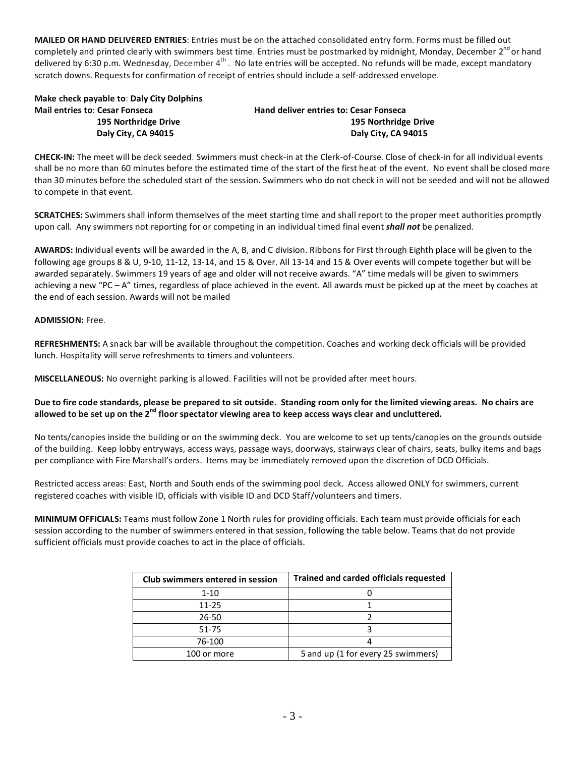**MAILED OR HAND DELIVERED ENTRIES**: Entries must be on the attached consolidated entry form. Forms must be filled out completely and printed clearly with swimmers best time. Entries must be postmarked by midnight, Monday, December 2<sup>nd</sup> or hand delivered by 6:30 p.m. Wednesday, December  $4^{th}$ . No late entries will be accepted. No refunds will be made, except mandatory scratch downs. Requests for confirmation of receipt of entries should include a self-addressed envelope.

**Make check payable to**: **Daly City Dolphins Mail entries to**: **Cesar Fonseca Hand deliver entries to: Cesar Fonseca**

 **195 Northridge Drive 195 Northridge Drive Daly City, CA 94015 Daly City, CA 94015**

**CHECK-IN:** The meet will be deck seeded. Swimmers must check-in at the Clerk-of-Course. Close of check-in for all individual events shall be no more than 60 minutes before the estimated time of the start of the first heat of the event. No event shall be closed more than 30 minutes before the scheduled start of the session. Swimmers who do not check in will not be seeded and will not be allowed to compete in that event.

**SCRATCHES:** Swimmers shall inform themselves of the meet starting time and shall report to the proper meet authorities promptly upon call. Any swimmers not reporting for or competing in an individual timed final event *shall not* be penalized.

**AWARDS:** Individual events will be awarded in the A, B, and C division. Ribbons for First through Eighth place will be given to the following age groups 8 & U, 9-10, 11-12, 13-14, and 15 & Over. All 13-14 and 15 & Over events will compete together but will be awarded separately. Swimmers 19 years of age and older will not receive awards. "A" time medals will be given to swimmers achieving a new "PC – A" times, regardless of place achieved in the event. All awards must be picked up at the meet by coaches at the end of each session. Awards will not be mailed

#### **ADMISSION:** Free.

**REFRESHMENTS:** A snack bar will be available throughout the competition. Coaches and working deck officials will be provided lunch. Hospitality will serve refreshments to timers and volunteers.

**MISCELLANEOUS:** No overnight parking is allowed. Facilities will not be provided after meet hours.

## **Due to fire code standards, please be prepared to sit outside. Standing room only for the limited viewing areas. No chairs are allowed to be set up on the 2nd floor spectator viewing area to keep access ways clear and uncluttered.**

No tents/canopies inside the building or on the swimming deck. You are welcome to set up tents/canopies on the grounds outside of the building. Keep lobby entryways, access ways, passage ways, doorways, stairways clear of chairs, seats, bulky items and bags per compliance with Fire Marshall's orders. Items may be immediately removed upon the discretion of DCD Officials.

Restricted access areas: East, North and South ends of the swimming pool deck. Access allowed ONLY for swimmers, current registered coaches with visible ID, officials with visible ID and DCD Staff/volunteers and timers.

**MINIMUM OFFICIALS:** Teams must follow Zone 1 North rules for providing officials. Each team must provide officials for each session according to the number of swimmers entered in that session, following the table below. Teams that do not provide sufficient officials must provide coaches to act in the place of officials.

| Club swimmers entered in session | <b>Trained and carded officials requested</b> |  |  |  |  |
|----------------------------------|-----------------------------------------------|--|--|--|--|
| $1 - 10$                         |                                               |  |  |  |  |
| $11 - 25$                        |                                               |  |  |  |  |
| 26-50                            |                                               |  |  |  |  |
| 51-75                            |                                               |  |  |  |  |
| 76-100                           |                                               |  |  |  |  |
| 100 or more                      | 5 and up (1 for every 25 swimmers)            |  |  |  |  |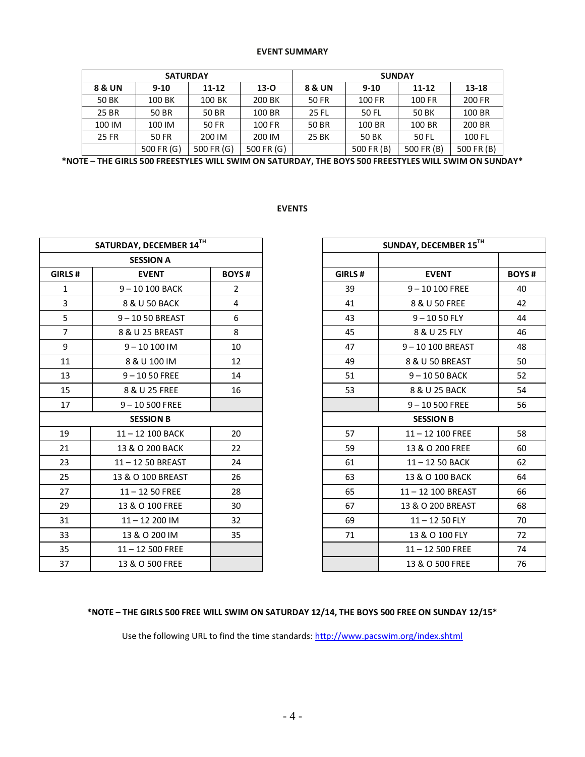#### **EVENT SUMMARY**

| <b>SATURDAY</b>   |            |            |            | <b>SUNDAY</b> |            |            |            |  |
|-------------------|------------|------------|------------|---------------|------------|------------|------------|--|
| <b>8 &amp; UN</b> | $9 - 10$   | $11 - 12$  | $13-0$     | 8 & UN        | $9 - 10$   | 11-12      | $13 - 18$  |  |
| 50 BK             | 100 BK     | 100 BK     | 200 BK     | 50 FR         | 100 FR     | 100 FR     | 200 FR     |  |
| 25 BR             | 50 BR      | 50 BR      | 100 BR     | 25 FL         | 50 FL      | 50 BK      | 100 BR     |  |
| 100 IM            | 100 IM     | 50 FR      | 100 FR     | 50 BR         | 100 BR     | 100 BR     | 200 BR     |  |
| 25 FR             | 50 FR      | 200 IM     | 200 IM     | 25 BK         | 50 BK      | 50 FL      | 100 FL     |  |
|                   | 500 FR (G) | 500 FR (G) | 500 FR (G) |               | 500 FR (B) | 500 FR (B) | 500 FR (B) |  |

**\*NOTE – THE GIRLS 500 FREESTYLES WILL SWIM ON SATURDAY, THE BOYS 500 FREESTYLES WILL SWIM ON SUNDAY\***

# **EVENTS**

|                | SATURDAY, DECEMBER 14TH |                | SUNDAY, DECEMBER 15TH |                    |  |
|----------------|-------------------------|----------------|-----------------------|--------------------|--|
|                | <b>SESSION A</b>        |                |                       |                    |  |
| GIRLS#         | <b>EVENT</b>            | <b>BOYS#</b>   | GIRLS#                | <b>EVENT</b>       |  |
| $\mathbf{1}$   | $9 - 10100$ BACK        | $\overline{2}$ | 39                    | $9 - 10100$ FREE   |  |
| 3              | 8 & U 50 BACK           | $\overline{4}$ | 41                    | 8 & U 50 FREE      |  |
| 5              | $9 - 1050$ BREAST       | 6              | 43                    | $9 - 1050$ FLY     |  |
| $\overline{7}$ | 8 & U 25 BREAST         | 8              | 45                    | 8 & U 25 FLY       |  |
| 9              | $9 - 10100$ IM          | 10             | 47                    | 9-10100 BREAST     |  |
| 11             | 8 & U 100 IM            | 12             | 49                    | 8 & U 50 BREAST    |  |
| 13             | $9 - 1050$ FREE         | 14             | 51                    | 9-1050 BACK        |  |
| 15             | 8 & U 25 FREE           | 16             | 53                    | 8 & U 25 BACK      |  |
| 17             | $9 - 10500$ FREE        |                |                       | $9 - 10500$ FREE   |  |
|                | <b>SESSION B</b>        |                |                       | <b>SESSION B</b>   |  |
| 19             | $11 - 12$ 100 BACK      | 20             | 57                    | $11 - 12$ 100 FREE |  |
| 21             | 13 & O 200 BACK         | 22             | 59                    | 13 & O 200 FREE    |  |
| 23             | 11-12 50 BREAST         | 24             | 61                    | 11-12 50 BACK      |  |
| 25             | 13 & O 100 BREAST       | 26             | 63                    | 13 & O 100 BACK    |  |
| 27             | $11 - 1250$ FREE        | 28             | 65                    | 11-12 100 BREAST   |  |
| 29             | 13 & O 100 FREE         | 30             | 67                    | 13 & O 200 BREAST  |  |
| 31             | $11 - 12200$ IM         | 32             | 69                    | $11 - 1250$ FLY    |  |
| 33             | 13 & O 200 IM           | 35             | 71                    | 13 & O 100 FLY     |  |
| 35             | $11 - 12500$ FREE       |                |                       | $11 - 12500$ FREE  |  |
| 37             | 13 & O 500 FREE         |                |                       | 13 & O 500 FREE    |  |

|                         | SATURDAY, DECEMBER 14TH |                | SUNDAY, DECEMBER $15^{TH}$ |  |                    |              |
|-------------------------|-------------------------|----------------|----------------------------|--|--------------------|--------------|
| <b>SESSION A</b>        |                         |                |                            |  |                    |              |
| LS#                     | <b>EVENT</b>            | <b>BOYS#</b>   | GIRLS#                     |  | <b>EVENT</b>       | <b>BOYS#</b> |
| $\mathbf{1}$            | 9-10 100 BACK           | $\overline{2}$ | 39                         |  | $9 - 10100$ FREE   | 40           |
| $\overline{\mathbf{3}}$ | 8 & U 50 BACK           | 4              | 41                         |  | 8 & U 50 FREE      | 42           |
| $rac{5}{7}$             | 9-1050 BREAST           | 6              | 43                         |  | $9 - 1050$ FLY     | 44           |
|                         | 8 & U 25 BREAST         | 8              | 45                         |  | 8 & U 25 FLY       | 46           |
| $\overline{9}$          | $9 - 10100$ IM          | 10             | 47                         |  | 9-10100 BREAST     | 48           |
| $\overline{1}$          | 8 & U 100 IM            | 12             | 49                         |  | 8 & U 50 BREAST    | 50           |
| L3                      | $9 - 1050$ FREE         | 14             | 51                         |  | 9-1050 BACK        | 52           |
| L5                      | 8 & U 25 FREE           | 16             | 53                         |  | 8 & U 25 BACK      | 54           |
| L7                      | $9 - 10500$ FREE        |                |                            |  | $9 - 10500$ FREE   | 56           |
|                         | <b>SESSION B</b>        |                |                            |  | <b>SESSION B</b>   |              |
| 9                       | 11-12 100 BACK          | 20             | 57                         |  | $11 - 12$ 100 FREE | 58           |
| $\overline{1}$          | 13 & O 200 BACK         | 22             | 59                         |  | 13 & O 200 FREE    | 60           |
| $\overline{3}$          | 11-12 50 BREAST         | 24             | 61                         |  | $11 - 1250$ BACK   | 62           |
| $\overline{5}$          | 13 & O 100 BREAST       | 26             | 63                         |  | 13 & O 100 BACK    | 64           |
| $\overline{7}$          | $11 - 1250$ FREE        | 28             | 65                         |  | 11-12 100 BREAST   | 66           |
| 9                       | 13 & O 100 FREE         | 30             | 67                         |  | 13 & O 200 BREAST  | 68           |
| 1                       | $11 - 12200$ IM         | 32             | 69                         |  | $11 - 1250$ FLY    | 70           |
| 3                       | 13 & O 200 IM           | 35             | 71                         |  | 13 & O 100 FLY     | 72           |
| $5^{\circ}$             | $11 - 12500$ FREE       |                |                            |  | $11 - 12500$ FREE  | 74           |
| $7^{\circ}$             | 13 & O 500 FREE         |                |                            |  | 13 & O 500 FREE    | 76           |

# **\*NOTE – THE GIRLS 500 FREE WILL SWIM ON SATURDAY 12/14, THE BOYS 500 FREE ON SUNDAY 12/15\***

Use the following URL to find the time standards:<http://www.pacswim.org/index.shtml>